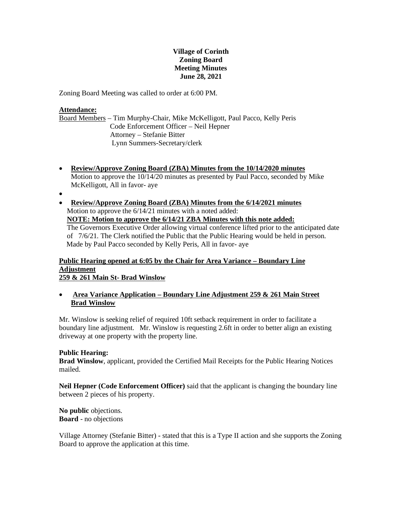# **Village of Corinth Zoning Board Meeting Minutes June 28, 2021**

Zoning Board Meeting was called to order at 6:00 PM.

## **Attendance:**

Board Members – Tim Murphy-Chair, Mike McKelligott, Paul Pacco, Kelly Peris Code Enforcement Officer – Neil Hepner Attorney – Stefanie Bitter Lynn Summers-Secretary/clerk

- **Review/Approve Zoning Board (ZBA) Minutes from the 10/14/2020 minutes**  Motion to approve the 10/14/20 minutes as presented by Paul Pacco, seconded by Mike McKelligott, All in favor- aye
- $\bullet$
- **Review/Approve Zoning Board (ZBA) Minutes from the 6/14/2021 minutes**  Motion to approve the 6/14/21 minutes with a noted added: **NOTE: Motion to approve the 6/14/21 ZBA Minutes with this note added:**  The Governors Executive Order allowing virtual conference lifted prior to the anticipated date

of 7/6/21. The Clerk notified the Public that the Public Hearing would be held in person. Made by Paul Pacco seconded by Kelly Peris, All in favor- aye

## **Public Hearing opened at 6:05 by the Chair for Area Variance – Boundary Line Adjustment 259 & 261 Main St- Brad Winslow**

 **Area Variance Application – Boundary Line Adjustment 259 & 261 Main Street Brad Winslow**

Mr. Winslow is seeking relief of required 10ft setback requirement in order to facilitate a boundary line adjustment. Mr. Winslow is requesting 2.6ft in order to better align an existing driveway at one property with the property line.

# **Public Hearing:**

**Brad Winslow**, applicant, provided the Certified Mail Receipts for the Public Hearing Notices mailed.

**Neil Hepner (Code Enforcement Officer)** said that the applicant is changing the boundary line between 2 pieces of his property.

**No public** objections. **Board** - no objections

Village Attorney (Stefanie Bitter) - stated that this is a Type II action and she supports the Zoning Board to approve the application at this time.